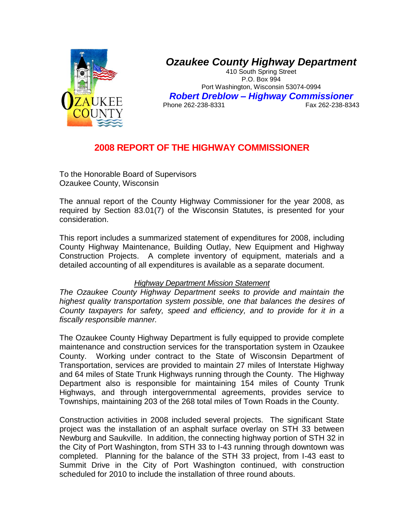

# *Ozaukee County Highway Department*

410 South Spring Street P.O. Box 994 Port Washington, Wisconsin 53074-0994 *Robert Dreblow – Highway Commissioner* Phone 262-238-8331

# **2008 REPORT OF THE HIGHWAY COMMISSIONER**

To the Honorable Board of Supervisors Ozaukee County, Wisconsin

The annual report of the County Highway Commissioner for the year 2008, as required by Section 83.01(7) of the Wisconsin Statutes, is presented for your consideration.

This report includes a summarized statement of expenditures for 2008, including County Highway Maintenance, Building Outlay, New Equipment and Highway Construction Projects. A complete inventory of equipment, materials and a detailed accounting of all expenditures is available as a separate document.

### *Highway Department Mission Statement*

*The Ozaukee County Highway Department seeks to provide and maintain the highest quality transportation system possible, one that balances the desires of County taxpayers for safety, speed and efficiency, and to provide for it in a fiscally responsible manner.* 

The Ozaukee County Highway Department is fully equipped to provide complete maintenance and construction services for the transportation system in Ozaukee County. Working under contract to the State of Wisconsin Department of Transportation, services are provided to maintain 27 miles of Interstate Highway and 64 miles of State Trunk Highways running through the County. The Highway Department also is responsible for maintaining 154 miles of County Trunk Highways, and through intergovernmental agreements, provides service to Townships, maintaining 203 of the 268 total miles of Town Roads in the County.

Construction activities in 2008 included several projects. The significant State project was the installation of an asphalt surface overlay on STH 33 between Newburg and Saukville. In addition, the connecting highway portion of STH 32 in the City of Port Washington, from STH 33 to I-43 running through downtown was completed. Planning for the balance of the STH 33 project, from I-43 east to Summit Drive in the City of Port Washington continued, with construction scheduled for 2010 to include the installation of three round abouts.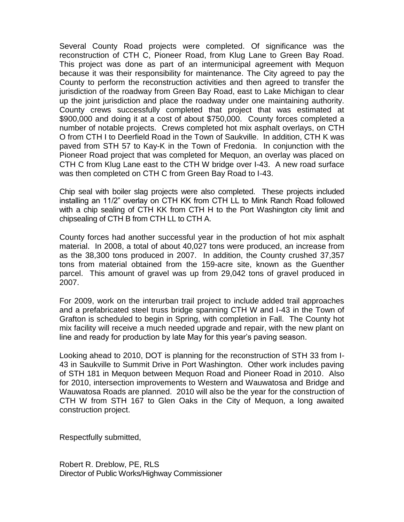Several County Road projects were completed. Of significance was the reconstruction of CTH C, Pioneer Road, from Klug Lane to Green Bay Road. This project was done as part of an intermunicipal agreement with Mequon because it was their responsibility for maintenance. The City agreed to pay the County to perform the reconstruction activities and then agreed to transfer the jurisdiction of the roadway from Green Bay Road, east to Lake Michigan to clear up the joint jurisdiction and place the roadway under one maintaining authority. County crews successfully completed that project that was estimated at \$900,000 and doing it at a cost of about \$750,000. County forces completed a number of notable projects. Crews completed hot mix asphalt overlays, on CTH O from CTH I to Deerfield Road in the Town of Saukville. In addition, CTH K was paved from STH 57 to Kay-K in the Town of Fredonia. In conjunction with the Pioneer Road project that was completed for Mequon, an overlay was placed on CTH C from Klug Lane east to the CTH W bridge over I-43. A new road surface was then completed on CTH C from Green Bay Road to I-43.

Chip seal with boiler slag projects were also completed. These projects included installing an 11/2" overlay on CTH KK from CTH LL to Mink Ranch Road followed with a chip sealing of CTH KK from CTH H to the Port Washington city limit and chipsealing of CTH B from CTH LL to CTH A.

County forces had another successful year in the production of hot mix asphalt material. In 2008, a total of about 40,027 tons were produced, an increase from as the 38,300 tons produced in 2007. In addition, the County crushed 37,357 tons from material obtained from the 159-acre site, known as the Guenther parcel. This amount of gravel was up from 29,042 tons of gravel produced in 2007.

For 2009, work on the interurban trail project to include added trail approaches and a prefabricated steel truss bridge spanning CTH W and I-43 in the Town of Grafton is scheduled to begin in Spring, with completion in Fall. The County hot mix facility will receive a much needed upgrade and repair, with the new plant on line and ready for production by late May for this year's paving season.

Looking ahead to 2010, DOT is planning for the reconstruction of STH 33 from I-43 in Saukville to Summit Drive in Port Washington. Other work includes paving of STH 181 in Mequon between Mequon Road and Pioneer Road in 2010. Also for 2010, intersection improvements to Western and Wauwatosa and Bridge and Wauwatosa Roads are planned. 2010 will also be the year for the construction of CTH W from STH 167 to Glen Oaks in the City of Mequon, a long awaited construction project.

Respectfully submitted,

Robert R. Dreblow, PE, RLS Director of Public Works/Highway Commissioner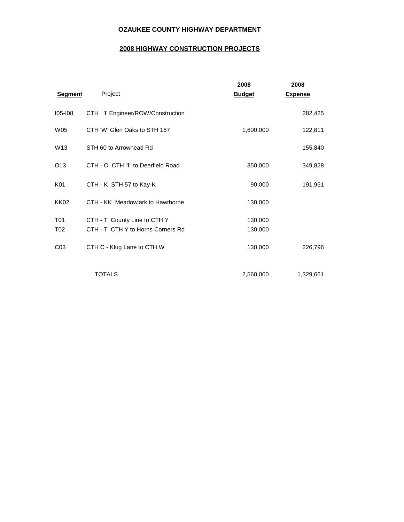## **2008 HIGHWAY CONSTRUCTION PROJECTS**

|                 |                                   | 2008          | 2008           |
|-----------------|-----------------------------------|---------------|----------------|
| <b>Segment</b>  | Project                           | <b>Budget</b> | <b>Expense</b> |
| $105 - 108$     | CTH 'I' Engineer/ROW/Construction |               | 282,425        |
| W05             | CTH 'W' Glen Oaks to STH 167      | 1,600,000     | 122,811        |
| W <sub>13</sub> | STH 60 to Arrowhead Rd            |               | 155,840        |
| O <sub>13</sub> | CTH - O CTH "I" to Deerfield Road | 350,000       | 349,828        |
| K01             | CTH - K STH 57 to Kay-K           | 90,000        | 191,961        |
| <b>KK02</b>     | CTH - KK Meadowlark to Hawthorne  | 130,000       |                |
| <b>T01</b>      | CTH - T County Line to CTH Y      | 130,000       |                |
| T <sub>02</sub> | CTH - T CTH Y to Horns Corners Rd | 130,000       |                |
| CO <sub>3</sub> | CTH C - Klug Lane to CTH W        | 130,000       | 226,796        |
|                 | <b>TOTALS</b>                     | 2,560,000     | 1,329,661      |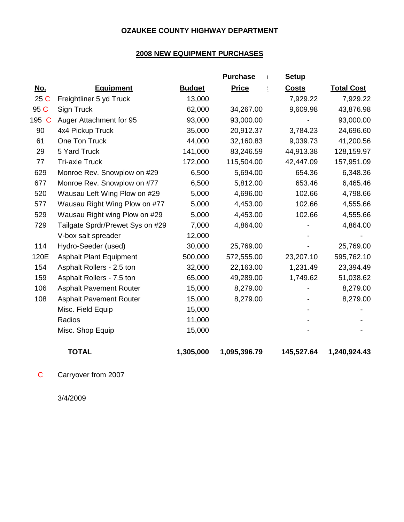## **2008 NEW EQUIPMENT PURCHASES**

|            |                                  |               | <b>Purchase</b><br>à. | <b>Setup</b> |                   |
|------------|----------------------------------|---------------|-----------------------|--------------|-------------------|
| <u>No.</u> | <b>Equipment</b>                 | <b>Budget</b> | <b>Price</b>          | <b>Costs</b> | <b>Total Cost</b> |
| 25 C       | Freightliner 5 yd Truck          | 13,000        |                       | 7,929.22     | 7,929.22          |
| 95 C       | Sign Truck                       | 62,000        | 34,267.00             | 9,609.98     | 43,876.98         |
| 195 C      | Auger Attachment for 95          | 93,000        | 93,000.00             |              | 93,000.00         |
| 90         | 4x4 Pickup Truck                 | 35,000        | 20,912.37             | 3,784.23     | 24,696.60         |
| 61         | One Ton Truck                    | 44,000        | 32,160.83             | 9,039.73     | 41,200.56         |
| 29         | 5 Yard Truck                     | 141,000       | 83,246.59             | 44,913.38    | 128,159.97        |
| 77         | <b>Tri-axle Truck</b>            | 172,000       | 115,504.00            | 42,447.09    | 157,951.09        |
| 629        | Monroe Rev. Snowplow on #29      | 6,500         | 5,694.00              | 654.36       | 6,348.36          |
| 677        | Monroe Rev. Snowplow on #77      | 6,500         | 5,812.00              | 653.46       | 6,465.46          |
| 520        | Wausau Left Wing Plow on #29     | 5,000         | 4,696.00              | 102.66       | 4,798.66          |
| 577        | Wausau Right Wing Plow on #77    | 5,000         | 4,453.00              | 102.66       | 4,555.66          |
| 529        | Wausau Right wing Plow on #29    | 5,000         | 4,453.00              | 102.66       | 4,555.66          |
| 729        | Tailgate Sprdr/Prewet Sys on #29 | 7,000         | 4,864.00              |              | 4,864.00          |
|            | V-box salt spreader              | 12,000        |                       |              |                   |
| 114        | Hydro-Seeder (used)              | 30,000        | 25,769.00             |              | 25,769.00         |
| 120E       | <b>Asphalt Plant Equipment</b>   | 500,000       | 572,555.00            | 23,207.10    | 595,762.10        |
| 154        | Asphalt Rollers - 2.5 ton        | 32,000        | 22,163.00             | 1,231.49     | 23,394.49         |
| 159        | Asphalt Rollers - 7.5 ton        | 65,000        | 49,289.00             | 1,749.62     | 51,038.62         |
| 106        | <b>Asphalt Pavement Router</b>   | 15,000        | 8,279.00              |              | 8,279.00          |
| 108        | <b>Asphalt Pavement Router</b>   | 15,000        | 8,279.00              |              | 8,279.00          |
|            | Misc. Field Equip                | 15,000        |                       |              |                   |
|            | Radios                           | 11,000        |                       |              |                   |
|            | Misc. Shop Equip                 | 15,000        |                       |              |                   |
|            | <b>TOTAL</b>                     | 1,305,000     | 1,095,396.79          | 145,527.64   | 1,240,924.43      |

C Carryover from 2007

3/4/2009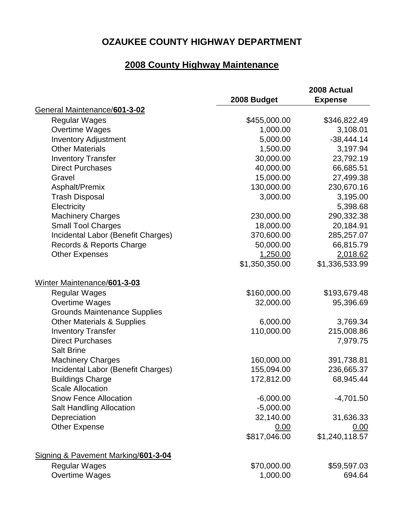# **2008 County Highway Maintenance**

|                                       | 2008 Actual    |                |
|---------------------------------------|----------------|----------------|
|                                       | 2008 Budget    | <b>Expense</b> |
| General Maintenance/601-3-02          |                |                |
| <b>Regular Wages</b>                  | \$455,000.00   | \$346,822.49   |
| Overtime Wages                        | 1,000.00       | 3,108.01       |
| <b>Inventory Adjustment</b>           | 5,000.00       | $-38,444.14$   |
| <b>Other Materials</b>                | 1,500.00       | 3,197.94       |
| <b>Inventory Transfer</b>             | 30,000.00      | 23,792.19      |
| <b>Direct Purchases</b>               | 40,000.00      | 66,685.51      |
| Gravel                                | 15,000.00      | 27,499.38      |
| Asphalt/Premix                        | 130,000.00     | 230,670.16     |
| <b>Trash Disposal</b>                 | 3,000.00       | 3,195.00       |
| Electricity                           |                | 5,398.68       |
| <b>Machinery Charges</b>              | 230,000.00     | 290,332.38     |
| <b>Small Tool Charges</b>             | 18,000.00      | 20,184.91      |
| Incidental Labor (Benefit Charges)    | 370,600.00     | 285,257.07     |
| Records & Reports Charge              | 50,000.00      | 66,815.79      |
| <b>Other Expenses</b>                 | 1,250.00       | 2,018.62       |
|                                       | \$1,350,350.00 | \$1,336,533.99 |
| Winter Maintenance/601-3-03           |                |                |
| <b>Regular Wages</b>                  | \$160,000.00   | \$193,679.48   |
| Overtime Wages                        | 32,000.00      | 95,396.69      |
| <b>Grounds Maintenance Supplies</b>   |                |                |
| <b>Other Materials &amp; Supplies</b> | 6,000.00       | 3,769.34       |
| <b>Inventory Transfer</b>             | 110,000.00     | 215,008.86     |
| <b>Direct Purchases</b>               |                | 7,979.75       |
| <b>Salt Brine</b>                     |                |                |
| <b>Machinery Charges</b>              | 160,000.00     | 391,738.81     |
| Incidental Labor (Benefit Charges)    | 155,094.00     | 236,665.37     |
| <b>Buildings Charge</b>               | 172,812.00     | 68,945.44      |
| <b>Scale Allocation</b>               |                |                |
| <b>Snow Fence Allocation</b>          | $-6,000.00$    | $-4,701.50$    |
| <b>Salt Handling Allocation</b>       | $-5,000.00$    |                |
| Depreciation                          | 32,140.00      | 31,636.33      |
| <b>Other Expense</b>                  | 0.00           | 0.00           |
|                                       | \$817,046.00   | \$1,240,118.57 |
| Signing & Pavement Marking/601-3-04   |                |                |
| <b>Regular Wages</b>                  | \$70,000.00    | \$59,597.03    |
| <b>Overtime Wages</b>                 | 1,000.00       | 694.64         |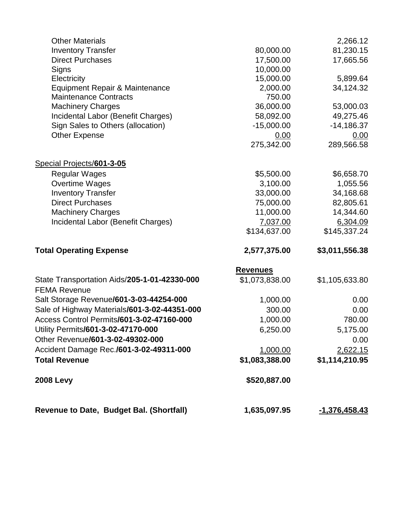| Revenue to Date, Budget Bal. (Shortfall)     | 1,635,097.95    | <u>-1,376,458.43</u> |
|----------------------------------------------|-----------------|----------------------|
| 2008 Levy                                    | \$520,887.00    |                      |
| <b>Total Revenue</b>                         | \$1,083,388.00  | \$1,114,210.95       |
| Accident Damage Rec./601-3-02-49311-000      | 1,000.00        | 2,622.15             |
| Other Revenue/601-3-02-49302-000             |                 | 0.00                 |
| Utility Permits/601-3-02-47170-000           | 6,250.00        | 5.175.00             |
| Access Control Permits/601-3-02-47160-000    | 1,000.00        | 780.00               |
| Sale of Highway Materials/601-3-02-44351-000 | 300.00          | 0.00                 |
| Salt Storage Revenue/601-3-03-44254-000      | 1,000.00        | 0.00                 |
| <b>FEMA Revenue</b>                          |                 |                      |
| State Transportation Aids/205-1-01-42330-000 | \$1,073,838.00  | \$1,105,633.80       |
|                                              | <b>Revenues</b> |                      |
| <b>Total Operating Expense</b>               | 2,577,375.00    | \$3,011,556.38       |
|                                              | \$134,637.00    | \$145,337.24         |
| Incidental Labor (Benefit Charges)           | 7,037.00        | 6,304.09             |
| <b>Machinery Charges</b>                     | 11,000.00       | 14,344.60            |
| <b>Direct Purchases</b>                      | 75,000.00       | 82,805.61            |
| <b>Inventory Transfer</b>                    | 33,000.00       | 34,168.68            |
| Overtime Wages                               | 3,100.00        | 1,055.56             |
| <b>Regular Wages</b>                         | \$5,500.00      | \$6,658.70           |
| Special Projects/601-3-05                    |                 |                      |
|                                              | 275,342.00      | 289,566.58           |
| <b>Other Expense</b>                         | 0.00            | 0.00                 |
| Sign Sales to Others (allocation)            | $-15,000.00$    | $-14,186.37$         |
| Incidental Labor (Benefit Charges)           | 58,092.00       | 49,275.46            |
| <b>Machinery Charges</b>                     | 36,000.00       | 53,000.03            |
| <b>Maintenance Contracts</b>                 | 750.00          |                      |
| <b>Equipment Repair &amp; Maintenance</b>    | 2,000.00        | 34,124.32            |
| Electricity                                  | 15,000.00       | 5,899.64             |
| Signs                                        | 10,000.00       |                      |
| <b>Direct Purchases</b>                      | 17,500.00       | 17,665.56            |
| <b>Inventory Transfer</b>                    | 80,000.00       | 81,230.15            |
| <b>Other Materials</b>                       |                 | 2,266.12             |